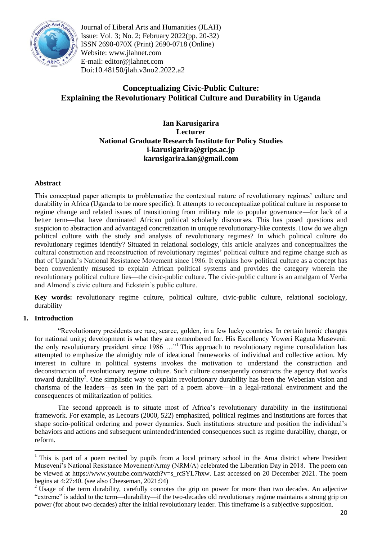

Journal of Liberal Arts and Humanities (JLAH) Issue: Vol. 3; No. 2; February 2022(pp. 20-32) ISSN 2690-070X (Print) 2690-0718 (Online) Website: www.jlahnet.com E-mail: editor@jlahnet.com Doi:10.48150/jlah.v3no2.2022.a2

# **Conceptualizing Civic-Public Culture: Explaining the Revolutionary Political Culture and Durability in Uganda**

## **Ian Karusigarira Lecturer National Graduate Research Institute for Policy Studies i-karusigarira@grips.ac.jp karusigarira.ian@gmail.com**

## **Abstract**

This conceptual paper attempts to problematize the contextual nature of revolutionary regimes' culture and durability in Africa (Uganda to be more specific). It attempts to reconceptualize political culture in response to regime change and related issues of transitioning from military rule to popular governance—for lack of a better term—that have dominated African political scholarly discourses. This has posed questions and suspicion to abstraction and advantaged concretization in unique revolutionary-like contexts. How do we align political culture with the study and analysis of revolutionary regimes? In which political culture do revolutionary regimes identify? Situated in relational sociology, this article analyzes and conceptualizes the cultural construction and reconstruction of revolutionary regimes' political culture and regime change such as that of Uganda's National Resistance Movement since 1986. It explains how political culture as a concept has been conveniently misused to explain African political systems and provides the category wherein the revolutionary political culture lies—the civic-public culture. The civic-public culture is an amalgam of Verba and Almond's civic culture and Eckstein's public culture.

**Key words:** revolutionary regime culture, political culture, civic-public culture, relational sociology, durability

#### **1. Introduction**

―Revolutionary presidents are rare, scarce, golden, in a few lucky countries. In certain heroic changes for national unity; development is what they are remembered for. His Excellency Yoweri Kaguta Museveni: the only revolutionary president since  $1986$  ..."<sup>1</sup> This approach to revolutionary regime consolidation has attempted to emphasize the almighty role of ideational frameworks of individual and collective action. My interest in culture in political systems invokes the motivation to understand the construction and deconstruction of revolutionary regime culture. Such culture consequently constructs the agency that works toward durability<sup>2</sup>. One simplistic way to explain revolutionary durability has been the Weberian vision and charisma of the leaders—as seen in the part of a poem above—in a legal-rational environment and the consequences of militarization of politics.

The second approach is to situate most of Africa's revolutionary durability in the institutional framework. For example, as Lecours (2000, 522) emphasized, political regimes and institutions are forces that shape socio-political ordering and power dynamics. Such institutions structure and position the individual's behaviors and actions and subsequent unintended/intended consequences such as regime durability, change, or reform.

<sup>&</sup>lt;sup>1</sup> This is part of a poem recited by pupils from a local primary school in the Arua district where President Museveni's National Resistance Movement/Army (NRM/A) celebrated the Liberation Day in 2018. The poem can be viewed at https://www.youtube.com/watch?v=s\_rcSYL7hxw. Last accessed on 20 December 2021. The poem begins at 4:27:40. (see also Cheeseman, 2021:94)

 $2 \text{Usage of the term durability, carefully connects the grip on power for more than two decades. An adjective$ "extreme" is added to the term—durability—if the two-decades old revolutionary regime maintains a strong grip on power (for about two decades) after the initial revolutionary leader. This timeframe is a subjective supposition.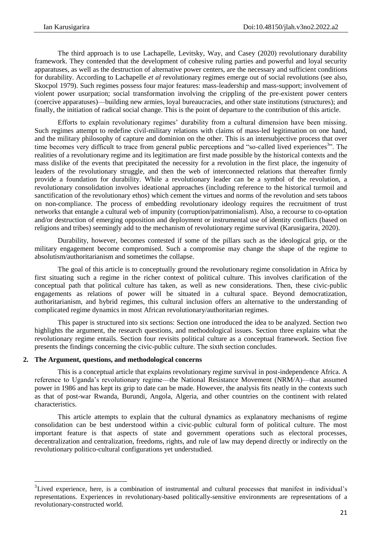The third approach is to use Lachapelle, Levitsky, Way, and Casey (2020) revolutionary durability framework. They contended that the development of cohesive ruling parties and powerful and loyal security apparatuses, as well as the destruction of alternative power centers, are the necessary and sufficient conditions for durability. According to Lachapelle *et al* revolutionary regimes emerge out of social revolutions (see also, Skocpol 1979). Such regimes possess four major features: mass-leadership and mass-support; involvement of violent power usurpation; social transformation involving the crippling of the pre-existent power centers (coercive apparatuses)—building new armies, loyal bureaucracies, and other state institutions (structures); and finally, the initiation of radical social change. This is the point of departure to the contribution of this article.

Efforts to explain revolutionary regimes' durability from a cultural dimension have been missing. Such regimes attempt to redefine civil-military relations with claims of mass-led legitimation on one hand, and the military philosophy of capture and dominion on the other. This is an intersubjective process that over time becomes very difficult to trace from general public perceptions and "so-called lived experiences<sup>3</sup>". The realities of a revolutionary regime and its legitimation are first made possible by the historical contexts and the mass dislike of the events that precipitated the necessity for a revolution in the first place, the ingenuity of leaders of the revolutionary struggle, and then the web of interconnected relations that thereafter firmly provide a foundation for durability. While a revolutionary leader can be a symbol of the revolution, a revolutionary consolidation involves ideational approaches (including reference to the historical turmoil and sanctification of the revolutionary ethos) which cement the virtues and norms of the revolution and sets taboos on non-compliance. The process of embedding revolutionary ideology requires the recruitment of trust networks that entangle a cultural web of impunity (corruption/patrimonialism). Also, a recourse to co-optation and/or destruction of emerging opposition and deployment or instrumental use of identity conflicts (based on religions and tribes) seemingly add to the mechanism of revolutionary regime survival (Karusigarira, 2020).

Durability, however, becomes contested if some of the pillars such as the ideological grip, or the military engagement become compromised. Such a compromise may change the shape of the regime to absolutism/authoritarianism and sometimes the collapse.

The goal of this article is to conceptually ground the revolutionary regime consolidation in Africa by first situating such a regime in the richer context of political culture. This involves clarification of the conceptual path that political culture has taken, as well as new considerations. Then, these civic-public engagements as relations of power will be situated in a cultural space. Beyond democratization, authoritarianism, and hybrid regimes, this cultural inclusion offers an alternative to the understanding of complicated regime dynamics in most African revolutionary/authoritarian regimes.

This paper is structured into six sections: Section one introduced the idea to be analyzed. Section two highlights the argument, the research questions, and methodological issues. Section three explains what the revolutionary regime entails. Section four revisits political culture as a conceptual framework. Section five presents the findings concerning the civic-public culture. The sixth section concludes.

#### **2. The Argument, questions, and methodological concerns**

**.** 

This is a conceptual article that explains revolutionary regime survival in post-independence Africa. A reference to Uganda's revolutionary regime—the National Resistance Movement (NRM/A)—that assumed power in 1986 and has kept its grip to date can be made. However, the analysis fits neatly in the contexts such as that of post-war Rwanda, Burundi, Angola, Algeria, and other countries on the continent with related characteristics.

This article attempts to explain that the cultural dynamics as explanatory mechanisms of regime consolidation can be best understood within a civic-public cultural form of political culture. The most important feature is that aspects of state and government operations such as electoral processes, decentralization and centralization, freedoms, rights, and rule of law may depend directly or indirectly on the revolutionary politico-cultural configurations yet understudied.

<sup>&</sup>lt;sup>3</sup>Lived experience, here, is a combination of instrumental and cultural processes that manifest in individual's representations. Experiences in revolutionary-based politically-sensitive environments are representations of a revolutionary-constructed world.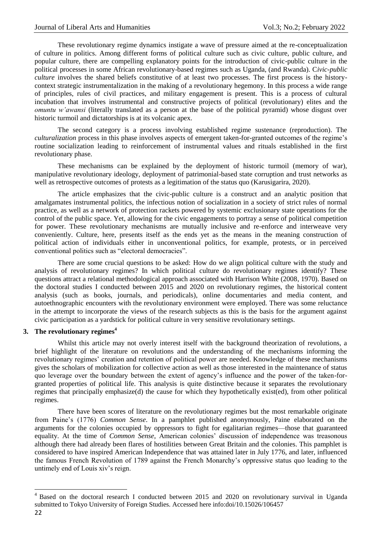These revolutionary regime dynamics instigate a wave of pressure aimed at the re-conceptualization of culture in politics. Among different forms of political culture such as civic culture, public culture, and popular culture, there are compelling explanatory points for the introduction of civic-public culture in the political processes in some African revolutionary-based regimes such as Uganda, (and Rwanda). C*ivic-public culture* involves the shared beliefs constitutive of at least two processes. The first process is the historycontext strategic instrumentalization in the making of a revolutionary hegemony. In this process a wide range of principles, rules of civil practices, and military engagement is present. This is a process of cultural incubation that involves instrumental and constructive projects of political (revolutionary) elites and the *omuntu w'awansi* (literally translated as a person at the base of the political pyramid) whose disgust over historic turmoil and dictatorships is at its volcanic apex.

The second category is a process involving established regime sustenance (reproduction). The *culturalization* process in this phase involves aspects of emergent taken-for-granted outcomes of the regime's routine socialization leading to reinforcement of instrumental values and rituals established in the first revolutionary phase.

These mechanisms can be explained by the deployment of historic turmoil (memory of war), manipulative revolutionary ideology, deployment of patrimonial-based state corruption and trust networks as well as retrospective outcomes of protests as a legitimation of the status quo (Karusigarira, 2020).

The article emphasizes that the civic-public culture is a construct and an analytic position that amalgamates instrumental politics, the infectious notion of socialization in a society of strict rules of normal practice, as well as a network of protection rackets powered by systemic exclusionary state operations for the control of the public space. Yet, allowing for the civic engagements to portray a sense of political competition for power. These revolutionary mechanisms are mutually inclusive and re-enforce and interweave very conveniently. Culture, here, presents itself as the ends yet as the means in the meaning construction of political action of individuals either in unconventional politics, for example, protests, or in perceived conventional politics such as "electoral democracies".

There are some crucial questions to be asked: How do we align political culture with the study and analysis of revolutionary regimes? In which political culture do revolutionary regimes identify? These questions attract a relational methodological approach associated with Harrison White (2008, 1970). Based on the doctoral studies I conducted between 2015 and 2020 on revolutionary regimes, the historical content analysis (such as books, journals, and periodicals), online documentaries and media content, and autoethnographic encounters with the revolutionary environment were employed. There was some reluctance in the attempt to incorporate the views of the research subjects as this is the basis for the argument against civic participation as a yardstick for political culture in very sensitive revolutionary settings.

## **3. The revolutionary regimes<sup>4</sup>**

Whilst this article may not overly interest itself with the background theorization of revolutions, a brief highlight of the literature on revolutions and the understanding of the mechanisms informing the revolutionary regimes' creation and retention of political power are needed. Knowledge of these mechanisms gives the scholars of mobilization for collective action as well as those interested in the maintenance of status quo leverage over the boundary between the extent of agency's influence and the power of the taken-forgranted properties of political life. This analysis is quite distinctive because it separates the revolutionary regimes that principally emphasize(d) the cause for which they hypothetically exist(ed), from other political regimes.

There have been scores of literature on the revolutionary regimes but the most remarkable originate from Paine's (1776) *Common Sense*. In a pamphlet published anonymously, Paine elaborated on the arguments for the colonies occupied by oppressors to fight for egalitarian regimes—those that guaranteed equality. At the time of *Common Sense,* American colonies' discussion of independence was treasonous although there had already been flares of hostilities between Great Britain and the colonies. This pamphlet is considered to have inspired American Independence that was attained later in July 1776, and later, influenced the famous French Revolution of 1789 against the French Monarchy's oppressive status quo leading to the untimely end of Louis xiv's reign.

1

<sup>&</sup>lt;sup>4</sup> Based on the doctoral research I conducted between 2015 and 2020 on revolutionary survival in Uganda submitted to Tokyo University of Foreign Studies. Accessed here info:doi/10.15026/106457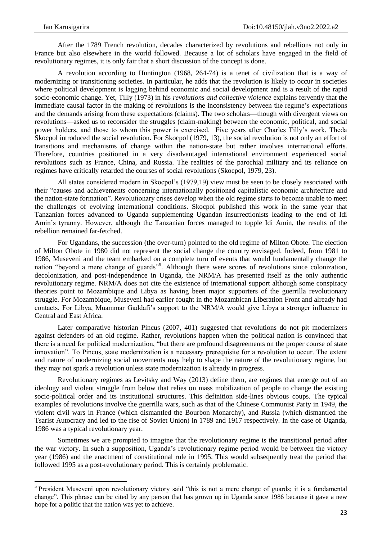**.** 

After the 1789 French revolution, decades characterized by revolutions and rebellions not only in France but also elsewhere in the world followed. Because a lot of scholars have engaged in the field of revolutionary regimes, it is only fair that a short discussion of the concept is done.

A revolution according to Huntington (1968, 264-74) is a tenet of civilization that is a way of modernizing or transitioning societies. In particular, he adds that the revolution is likely to occur in societies where political development is lagging behind economic and social development and is a result of the rapid socio-economic change. Yet, Tilly (1973) in his *revolutions and collective violence* explains fervently that the immediate causal factor in the making of revolutions is the inconsistency between the regime's expectations and the demands arising from these expectations (claims). The two scholars—though with divergent views on revolutions—asked us to reconsider the struggles (claim-making) between the economic, political, and social power holders, and those to whom this power is exercised. Five years after Charles Tilly's work, Theda Skocpol introduced the social revolution. For Skocpol (1979, 13), the social revolution is not only an effort of transitions and mechanisms of change within the nation-state but rather involves international efforts. Therefore, countries positioned in a very disadvantaged international environment experienced social revolutions such as France, China, and Russia. The realities of the parochial military and its reliance on regimes have critically retarded the courses of social revolutions (Skocpol, 1979, 23).

All states considered modern in Skocpol's (1979,19) view must be seen to be closely associated with their ―causes and achievements concerning internationally positioned capitalistic economic architecture and the nation-state formation". Revolutionary crises develop when the old regime starts to become unable to meet the challenges of evolving international conditions. Skocpol published this work in the same year that Tanzanian forces advanced to Uganda supplementing Ugandan insurrectionists leading to the end of Idi Amin's tyranny. However, although the Tanzanian forces managed to topple Idi Amin, the results of the rebellion remained far-fetched.

For Ugandans, the succession (the over-turn) pointed to the old regime of Milton Obote. The election of Milton Obote in 1980 did not represent the social change the country envisaged. Indeed, from 1981 to 1986, Museveni and the team embarked on a complete turn of events that would fundamentally change the nation "beyond a mere change of guards"<sup>5</sup>. Although there were scores of revolutions since colonization, decolonization, and post-independence in Uganda, the NRM/A has presented itself as the only authentic revolutionary regime. NRM/A does not cite the existence of international support although some conspiracy theories point to Mozambique and Libya as having been major supporters of the guerrilla revolutionary struggle. For Mozambique, Museveni had earlier fought in the Mozambican Liberation Front and already had contacts. For Libya, Muammar Gaddafi's support to the NRM/A would give Libya a stronger influence in Central and East Africa.

Later comparative historian Pincus (2007, 401) suggested that revolutions do not pit modernizers against defenders of an old regime. Rather, revolutions happen when the political nation is convinced that there is a need for political modernization, "but there are profound disagreements on the proper course of state innovation". To Pincus, state modernization is a necessary prerequisite for a revolution to occur. The extent and nature of modernizing social movements may help to shape the nature of the revolutionary regime, but they may not spark a revolution unless state modernization is already in progress.

Revolutionary regimes as Levitsky and Way (2013) define them, are regimes that emerge out of an ideology and violent struggle from below that relies on mass mobilization of people to change the existing socio-political order and its institutional structures. This definition side-lines obvious coups. The typical examples of revolutions involve the guerrilla wars, such as that of the Chinese Communist Party in 1949, the violent civil wars in France (which dismantled the Bourbon Monarchy), and Russia (which dismantled the Tsarist Autocracy and led to the rise of Soviet Union) in 1789 and 1917 respectively. In the case of Uganda, 1986 was a typical revolutionary year.

Sometimes we are prompted to imagine that the revolutionary regime is the transitional period after the war victory. In such a supposition, Uganda's revolutionary regime period would be between the victory year (1986) and the enactment of constitutional rule in 1995. This would subsequently treat the period that followed 1995 as a post-revolutionary period. This is certainly problematic.

<sup>&</sup>lt;sup>5</sup> President Museveni upon revolutionary victory said "this is not a mere change of guards; it is a fundamental change". This phrase can be cited by any person that has grown up in Uganda since 1986 because it gave a new hope for a politic that the nation was yet to achieve.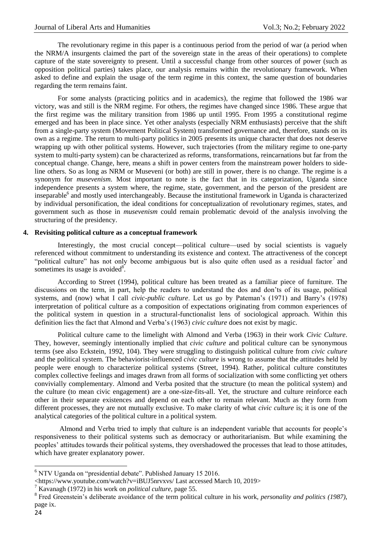The revolutionary regime in this paper is a continuous period from the period of war (a period when the NRM/A insurgents claimed the part of the sovereign state in the areas of their operations) to complete capture of the state sovereignty to present. Until a successful change from other sources of power (such as opposition political parties) takes place, our analysis remains within the revolutionary framework. When asked to define and explain the usage of the term regime in this context, the same question of boundaries regarding the term remains faint.

For some analysts (practicing politics and in academics), the regime that followed the 1986 war victory, was and still is the NRM regime. For others, the regimes have changed since 1986. These argue that the first regime was the military transition from 1986 up until 1995. From 1995 a constitutional regime emerged and has been in place since. Yet other analysts (especially NRM enthusiasts) perceive that the shift from a single-party system (Movement Political System) transformed governance and, therefore, stands on its own as a regime. The return to multi-party politics in 2005 presents its unique character that does not deserve wrapping up with other political systems. However, such trajectories (from the military regime to one-party system to multi-party system) can be characterized as reforms, transformations, reincarnations but far from the conceptual change. Change, here, means a shift in power centers from the mainstream power holders to sideline others. So as long as NRM or Museveni (or both) are still in power, there is no change. The regime is a synonym for *musevenism*. Most important to note is the fact that in its categorization, Uganda since independence presents a system where, the regime, state, government, and the person of the president are inseparable<sup>6</sup> and mostly used interchangeably. Because the institutional framework in Uganda is characterized by individual personification, the ideal conditions for conceptualization of revolutionary regimes, states, and government such as those in *musevenism* could remain problematic devoid of the analysis involving the structuring of the presidency.

## **4. Revisiting political culture as a conceptual framework**

Interestingly, the most crucial concept—political culture—used by social scientists is vaguely referenced without commitment to understanding its existence and context. The attractiveness of the concept "political culture" has not only become ambiguous but is also quite often used as a residual factor<sup>7</sup> and sometimes its usage is avoided<sup>8</sup>.

According to Street (1994), political culture has been treated as a familiar piece of furniture. The discussions on the term, in part, help the readers to understand the dos and don'ts of its usage, political systems, and (now) what I call *civic-public culture*. Let us go by Pateman's (1971) and Barry's (1978) interpretation of political culture as a composition of expectations originating from common experiences of the political system in question in a structural-functionalist lens of sociological approach. Within this definition lies the fact that Almond and Verba's (1963) *civic culture* does not exist by magic.

Political culture came to the limelight with Almond and Verba (1963) in their work *Civic Culture*. They, however, seemingly intentionally implied that *civic culture* and political culture can be synonymous terms (see also Eckstein, 1992, 104). They were struggling to distinguish political culture from *civic culture* and the political system. The behaviorist-influenced *civic culture* is wrong to assume that the attitudes held by people were enough to characterize political systems (Street, 1994). Rather, political culture constitutes complex collective feelings and images drawn from all forms of socialization with some conflicting yet others convivially complementary. Almond and Verba posited that the structure (to mean the political system) and the culture (to mean civic engagement) are a one-size-fits-all. Yet, the structure and culture reinforce each other in their separate existences and depend on each other to remain relevant. Much as they form from different processes, they are not mutually exclusive. To make clarity of what *civic culture* is; it is one of the analytical categories of the political culture in a political system.

Almond and Verba tried to imply that culture is an independent variable that accounts for people's responsiveness to their political systems such as democracy or authoritarianism. But while examining the peoples' attitudes towards their political systems, they overshadowed the processes that lead to those attitudes, which have greater explanatory power.

**<sup>.</sup>**  $6$  NTV Uganda on "presidential debate". Published January 15 2016.

<sup>&</sup>lt;https://www.youtube.com/watch?v=iBUJ5nrvxvs/ Last accessed March 10, 2019>

<sup>7</sup> Kavanagh (1972) in his work on *political culture*, page 55.

<sup>8</sup> Fred Greenstein's deliberate avoidance of the term political culture in his work, *personality and politics (1987)*, page ix.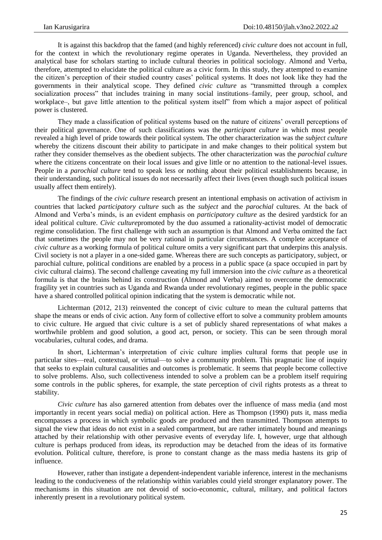It is against this backdrop that the famed (and highly referenced) *civic culture* does not account in full, for the context in which the revolutionary regime operates in Uganda. Nevertheless, they provided an analytical base for scholars starting to include cultural theories in political sociology. Almond and Verba, therefore, attempted to elucidate the political culture as a civic form. In this study, they attempted to examine the citizen's perception of their studied country cases' political systems. It does not look like they had the governments in their analytical scope. They defined *civic culture* as "transmitted through a complex socialization process" that includes training in many social institutions–family, peer group, school, and workplace–, but gave little attention to the political system itself" from which a major aspect of political power is clustered.

They made a classification of political systems based on the nature of citizens' overall perceptions of their political governance. One of such classifications was the *participant culture* in which most people revealed a high level of pride towards their political system. The other characterization was the *subject culture* whereby the citizens discount their ability to participate in and make changes to their political system but rather they consider themselves as the obedient subjects. The other characterization was the *parochial culture* where the citizens concentrate on their local issues and give little or no attention to the national-level issues. People in a *parochial culture* tend to speak less or nothing about their political establishments because, in their understanding, such political issues do not necessarily affect their lives (even though such political issues usually affect them entirely).

The findings of the *civic culture* research present an intentional emphasis on activation of activism in countries that lacked *participatory culture* such as the *subject* and the *parochial* cultures. At the back of Almond and Verba's minds, is an evident emphasis on *participatory culture* as the desired yardstick for an ideal political culture. *Civic culture*promoted by the duo assumed a rationality-activist model of democratic regime consolidation. The first challenge with such an assumption is that Almond and Verba omitted the fact that sometimes the people may not be very rational in particular circumstances. A complete acceptance of *civic culture* as a working formula of political culture omits a very significant part that underpins this analysis. Civil society is not a player in a one-sided game. Whereas there are such concepts as participatory, subject, or parochial culture, political conditions are enabled by a process in a public space (a space occupied in part by civic cultural claims). The second challenge caveating my full immersion into the *civic culture* as a theoretical formula is that the brains behind its construction (Almond and Verba) aimed to overcome the democratic fragility yet in countries such as Uganda and Rwanda under revolutionary regimes, people in the public space have a shared controlled political opinion indicating that the system is democratic while not.

Lichterman (2012, 213) reinvented the concept of civic culture to mean the cultural patterns that shape the means or ends of civic action. Any form of collective effort to solve a community problem amounts to civic culture. He argued that civic culture is a set of publicly shared representations of what makes a worthwhile problem and good solution, a good act, person, or society. This can be seen through moral vocabularies, cultural codes, and drama.

In short, Lichterman's interpretation of civic culture implies cultural forms that people use in particular sites—real, contextual, or virtual—to solve a community problem. This pragmatic line of inquiry that seeks to explain cultural causalities and outcomes is problematic. It seems that people become collective to solve problems. Also, such collectiveness intended to solve a problem can be a problem itself requiring some controls in the public spheres, for example, the state perception of civil rights protests as a threat to stability.

*Civic culture* has also garnered attention from debates over the influence of mass media (and most importantly in recent years social media) on political action. Here as Thompson (1990) puts it, mass media encompasses a process in which symbolic goods are produced and then transmitted. Thompson attempts to signal the view that ideas do not exist in a sealed compartment, but are rather intimately bound and meanings attached by their relationship with other pervasive events of everyday life. I, however, urge that although culture is perhaps produced from ideas, its reproduction may be detached from the ideas of its formative evolution. Political culture, therefore, is prone to constant change as the mass media hastens its grip of influence.

However, rather than instigate a dependent-independent variable inference, interest in the mechanisms leading to the conduciveness of the relationship within variables could yield stronger explanatory power. The mechanisms in this situation are not devoid of socio-economic, cultural, military, and political factors inherently present in a revolutionary political system.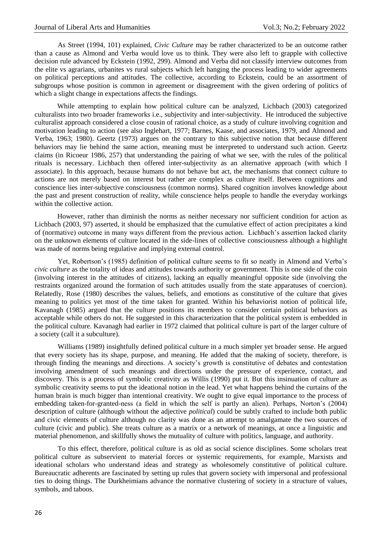As Street (1994, 101) explained, *Civic Culture* may be rather characterized to be an outcome rather than a cause as Almond and Verba would love us to think. They were also left to grapple with collective decision rule advanced by Eckstein (1992, 299). Almond and Verba did not classify interview outcomes from the elite vs agrarians, urbanites vs rural subjects which left hanging the process leading to wider agreements on political perceptions and attitudes. The collective, according to Eckstein, could be an assortment of subgroups whose position is common in agreement or disagreement with the given ordering of politics of which a slight change in expectations affects the findings.

While attempting to explain how political culture can be analyzed, Lichbach (2003) categorized culturalists into two broader frameworks i.e., subjectivity and inter-subjectivity. He introduced the subjective culturalist approach considered a close cousin of rational choice, as a study of culture involving cognition and motivation leading to action (see also Inglehart, 1977; Barnes, Kaase, and associates, 1979, and Almond and Verba, 1963; 1980). Geertz (1973) argues on the contrary to this subjective notion that because different behaviors may lie behind the same action, meaning must be interpreted to understand such action. Geertz claims (in Ricoeur 1986, 257) that understanding the pairing of what we see, with the rules of the political rituals is necessary. Lichbach then offered inter-subjectivity as an alternative approach (with which I associate). In this approach, because humans do not behave but act, the mechanisms that connect culture to actions are not merely based on interest but rather are complex as culture itself. Between cognitions and conscience lies inter-subjective consciousness (common norms). Shared cognition involves knowledge about the past and present construction of reality, while conscience helps people to handle the everyday workings within the collective action.

However, rather than diminish the norms as neither necessary nor sufficient condition for action as Lichbach (2003, 97) asserted, it should be emphasized that the cumulative effect of action precipitates a kind of (normative) outcome in many ways different from the previous action. Lichbach's assertion lacked clarity on the unknown elements of culture located in the side-lines of collective consciousness although a highlight was made of norms being regulative and implying external control.

Yet, Robertson's (1985) definition of political culture seems to fit so neatly in Almond and Verba's *civic culture* as the totality of ideas and attitudes towards authority or government. This is one side of the coin (involving interest in the attitudes of citizens), lacking an equally meaningful opposite side (involving the restraints organized around the formation of such attitudes usually from the state apparatuses of coercion). Relatedly, Rose (1980) describes the values, beliefs, and emotions as constitutive of the culture that gives meaning to politics yet most of the time taken for granted. Within his behaviorist notion of political life, Kavanagh (1985) argued that the culture positions its members to consider certain political behaviors as acceptable while others do not. He suggested in this characterization that the political system is embedded in the political culture. Kavanagh had earlier in 1972 claimed that political culture is part of the larger culture of a society (call it a subculture).

Williams (1989) insightfully defined political culture in a much simpler yet broader sense. He argued that every society has its shape, purpose, and meaning. He added that the making of society, therefore, is through finding the meanings and directions. A society's growth is constitutive of debates and contestation involving amendment of such meanings and directions under the pressure of experience, contact, and discovery. This is a process of symbolic creativity as Willis (1990) put it. But this insinuation of culture as symbolic creativity seems to put the ideational notion in the lead. Yet what happens behind the curtains of the human brain is much bigger than intentional creativity. We ought to give equal importance to the process of embedding taken-for-granted-ness (a field in which the self is partly an alien). Perhaps, Norton's (2004) description of culture (although without the adjective *political*) could be subtly crafted to include both public and civic elements of culture although no clarity was done as an attempt to amalgamate the two sources of culture (civic and public). She treats culture as a matrix or a network of meanings, at once a linguistic and material phenomenon, and skillfully shows the mutuality of culture with politics, language, and authority.

To this effect, therefore, political culture is as old as social science disciplines. Some scholars treat political culture as subservient to material forces or systemic requirements, for example, Marxists and ideational scholars who understand ideas and strategy as wholesomely constitutive of political culture. Bureaucratic adherents are fascinated by setting up rules that govern society with impersonal and professional ties to doing things. The Durkheimians advance the normative clustering of society in a structure of values, symbols, and taboos.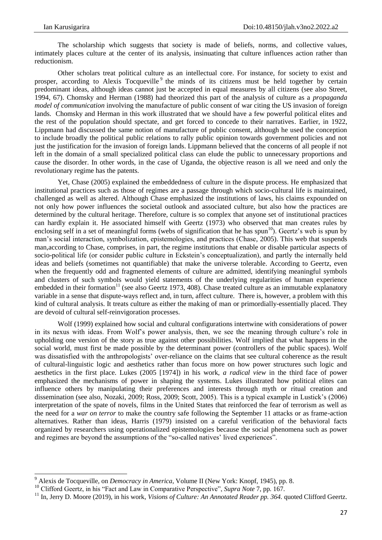**.** 

The scholarship which suggests that society is made of beliefs, norms, and collective values, intimately places culture at the center of its analysis, insinuating that culture influences action rather than reductionism.

Other scholars treat political culture as an intellectual core. For instance, for society to exist and prosper, according to Alexis Tocqueville<sup>9</sup> the minds of its citizens must be held together by certain predominant ideas, although ideas cannot just be accepted in equal measures by all citizens (see also Street, 1994, 67). Chomsky and Herman (1988) had theorized this part of the analysis of culture as a *propaganda model of communication* involving the manufacture of public consent of war citing the US invasion of foreign lands. Chomsky and Herman in this work illustrated that we should have a few powerful political elites and the rest of the population should spectate, and get forced to concede to their narratives. Earlier, in 1922, Lippmann had discussed the same notion of manufacture of public consent, although he used the conception to include broadly the political public relations to rally public opinion towards government policies and not just the justification for the invasion of foreign lands. Lippmann believed that the concerns of all people if not left in the domain of a small specialized political class can elude the public to unnecessary proportions and cause the disorder. In other words, in the case of Uganda, the objective reason is all we need and only the revolutionary regime has the patents.

Yet, Chase (2005) explained the embeddedness of culture in the dispute process. He emphasized that institutional practices such as those of regimes are a passage through which socio-cultural life is maintained, challenged as well as altered. Although Chase emphasized the institutions of laws, his claims expounded on not only how power influences the societal outlook and associated culture, but also how the practices are determined by the cultural heritage. Therefore, culture is so complex that anyone set of institutional practices can hardly explain it. He associated himself with Geertz (1973) who observed that man creates rules by enclosing self in a set of meaningful forms (webs of signification that he has spun<sup>10</sup>). Geertz's web is spun by man's social interaction, symbolization, epistemologies, and practices (Chase, 2005). This web that suspends man,according to Chase, comprises, in part, the regime institutions that enable or disable particular aspects of socio-political life (or consider public culture in Eckstein's conceptualization), and partly the internally held ideas and beliefs (sometimes not quantifiable) that make the universe tolerable. According to Geertz, even when the frequently odd and fragmented elements of culture are admitted, identifying meaningful symbols and clusters of such symbols would yield statements of the underlying regularities of human experience embedded in their formation<sup>11</sup> (see also Geertz 1973, 408). Chase treated culture as an immutable explanatory variable in a sense that dispute-ways reflect and, in turn, affect culture. There is, however, a problem with this kind of cultural analysis. It treats culture as either the making of man or primordially-essentially placed. They are devoid of cultural self-reinvigoration processes.

Wolf (1999) explained how social and cultural configurations intertwine with considerations of power in its nexus with ideas. From Wolf's power analysis, then, we see the meaning through culture's role in upholding one version of the story as true against other possibilities. Wolf implied that what happens in the social world, must first be made possible by the determinant power (controllers of the public spaces). Wolf was dissatisfied with the anthropologists' over-reliance on the claims that see cultural coherence as the result of cultural-linguistic logic and aesthetics rather than focus more on how power structures such logic and aesthetics in the first place. Lukes (2005 [1974]) in his work, *a radical view* in the third face of power emphasized the mechanisms of power in shaping the systems. Lukes illustrated how political elites can influence others by manipulating their preferences and interests through myth or ritual creation and dissemination (see also, Nozaki, 2009; Ross, 2009; Scott, 2005). This is a typical example in Lustick's (2006) interpretation of the spate of novels, films in the United States that reinforced the fear of terrorism as well as the need for a *war on terror* to make the country safe following the September 11 attacks or as frame-action alternatives. Rather than ideas, Harris (1979) insisted on a careful verification of the behavioral facts organized by researchers using operationalized epistemologies because the social phenomena such as power and regimes are beyond the assumptions of the "so-called natives' lived experiences".

<sup>9</sup> Alexis de Tocqueville, on *Democracy in America*, Volume II (New York: Knopf, 1945), pp. 8.

<sup>&</sup>lt;sup>10</sup> Clifford Geertz, in his "Fact and Law in Comparative Perspective", *Supra Note* 7, pp. 167.

<sup>&</sup>lt;sup>11</sup> In, Jerry D. Moore (2019), in his work, *Visions of Culture: An Annotated Reader pp.* 364. quoted Clifford Geertz.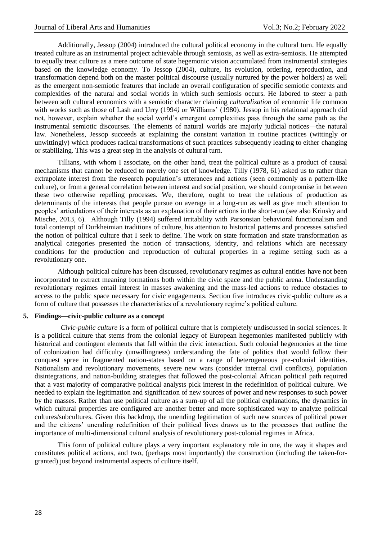Additionally, Jessop (2004) introduced the cultural political economy in the cultural turn. He equally treated culture as an instrumental project achievable through semiosis, as well as extra-semiosis. He attempted to equally treat culture as a mere outcome of state hegemonic vision accumulated from instrumental strategies based on the knowledge economy. To Jessop (2004), culture, its evolution, ordering, reproduction, and transformation depend both on the master political discourse (usually nurtured by the power holders) as well as the emergent non-semiotic features that include an overall configuration of specific semiotic contexts and complexities of the natural and social worlds in which such semiosis occurs. He labored to steer a path between soft cultural economics with a semiotic character claiming *culturalization* of economic life common with works such as those of Lash and Urry (1994*)* or Williams' (1980). Jessop in his relational approach did not, however, explain whether the social world's emergent complexities pass through the same path as the instrumental semiotic discourses. The elements of natural worlds are majorly judicial notices—the natural law. Nonetheless, Jessop succeeds at explaining the constant variation in routine practices (wittingly or unwittingly) which produces radical transformations of such practices subsequently leading to either changing or stabilizing. This was a great step in the analysis of cultural turn.

Tillians, with whom I associate, on the other hand, treat the political culture as a product of causal mechanisms that cannot be reduced to merely one set of knowledge. Tilly (1978, 61) asked us to rather than extrapolate interest from the research population's utterances and actions (seen commonly as a pattern-like culture), or from a general correlation between interest and social position, we should compromise in between these two otherwise repelling processes. We, therefore, ought to treat the relations of production as determinants of the interests that people pursue on average in a long-run as well as give much attention to peoples' articulations of their interests as an explanation of their actions in the short-run (see also Krinsky and Mische, 2013, 6). Although Tilly (1994) suffered irritability with Parsonsian behavioral functionalism and total contempt of Durkheimian traditions of culture, his attention to historical patterns and processes satisfied the notion of political culture that I seek to define. The work on state formation and state transformation as analytical categories presented the notion of transactions, identity, and relations which are necessary conditions for the production and reproduction of cultural properties in a regime setting such as a revolutionary one.

Although political culture has been discussed, revolutionary regimes as cultural entities have not been incorporated to extract meaning formations both within the civic space and the public arena. Understanding revolutionary regimes entail interest in masses awakening and the mass-led actions to reduce obstacles to access to the public space necessary for civic engagements. Section five introduces civic-public culture as a form of culture that possesses the characteristics of a revolutionary regime's political culture.

#### **5. Findings—civic-public culture as a concept**

*Civic-public culture* is a form of political culture that is completely undiscussed in social sciences. It is a political culture that stems from the colonial legacy of European hegemonies manifested publicly with historical and contingent elements that fall within the civic interaction. Such colonial hegemonies at the time of colonization had difficulty (unwillingness) understanding the fate of politics that would follow their conquest spree in fragmented nation-states based on a range of heterogeneous pre-colonial identities. Nationalism and revolutionary movements, severe new wars (consider internal civil conflicts), population disintegrations, and nation-building strategies that followed the post-colonial African political path required that a vast majority of comparative political analysts pick interest in the redefinition of political culture. We needed to explain the legitimation and signification of new sources of power and new responses to such power by the masses. Rather than use political culture as a sum-up of all the political explanations, the dynamics in which cultural properties are configured are another better and more sophisticated way to analyze political cultures/subcultures. Given this backdrop, the unending legitimation of such new sources of political power and the citizens' unending redefinition of their political lives draws us to the processes that outline the importance of multi-dimensional cultural analysis of revolutionary post-colonial regimes in Africa.

This form of political culture plays a very important explanatory role in one, the way it shapes and constitutes political actions, and two, (perhaps most importantly) the construction (including the taken-forgranted) just beyond instrumental aspects of culture itself.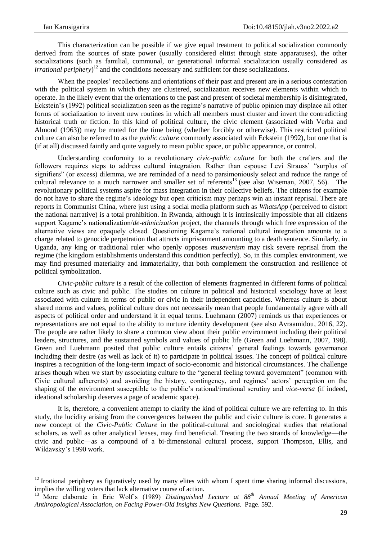**.** 

This characterization can be possible if we give equal treatment to political socialization commonly derived from the sources of state power (usually considered elitist through state apparatuses), the other socializations (such as familial, communal, or generational informal socialization usually considered as *irrational periphery*)<sup>12</sup> and the conditions necessary and sufficient for these socializations.

When the peoples' recollections and orientations of their past and present are in a serious contestation with the political system in which they are clustered, socialization receives new elements within which to operate. In the likely event that the orientations to the past and present of societal membership is disintegrated, Eckstein's (1992) political socialization seen as the regime's narrative of public opinion may displace all other forms of socialization to invent new routines in which all members must cluster and invert the contradicting historical truth or fiction. In this kind of political culture, the civic element (associated with Verba and Almond (1963)) may be muted for the time being (whether forcibly or otherwise). This restricted political culture can also be referred to as the *public culture* commonly associated with Eckstein (1992), but one that is (if at all) discussed faintly and quite vaguely to mean public space, or public appearance, or control.

Understanding conformity to a revolutionary *civic-public culture* for both the crafters and the followers requires steps to address cultural integration. Rather than espouse Levi Strauss' "surplus of signifiers" (or excess) dilemma, we are reminded of a need to parsimoniously select and reduce the range of cultural relevance to a much narrower and smaller set of referents<sup>13</sup> (see also Wiseman, 2007, 56). The revolutionary political systems aspire for mass integration in their collective beliefs. The citizens for example do not have to share the regime's ideology but open criticism may perhaps win an instant reprisal. There are reports in Communist China, where just using a social media platform such as *WhatsApp* (perceived to distort the national narrative) is a total prohibition. In Rwanda, although it is intrinsically impossible that all citizens support Kagame's nationalization/*de-ethnicization* project, the channels through which free expression of the alternative views are opaquely closed. Questioning Kagame's national cultural integration amounts to a charge related to genocide perpetration that attracts imprisonment amounting to a death sentence. Similarly, in Uganda, any king or traditional ruler who openly opposes *musevenism* may risk severe reprisal from the regime (the kingdom establishments understand this condition perfectly). So, in this complex environment, we may find presumed materiality and immateriality, that both complement the construction and resilience of political symbolization.

*Civic-public culture* is a result of the collection of elements fragmented in different forms of political culture such as civic and public. The studies on culture in political and historical sociology have at least associated with culture in terms of public or civic in their independent capacities. Whereas culture is about shared norms and values, political culture does not necessarily mean that people fundamentally agree with all aspects of political order and understand it in equal terms. Luehmann (2007) reminds us that experiences or representations are not equal to the ability to nurture identity development (see also Avraamidou, 2016, 22). The people are rather likely to share a common view about their public environment including their political leaders, structures, and the sustained symbols and values of public life (Green and Luehmann, 2007, 198). Green and Luehmann posited that public culture entails citizens' general feelings towards governance including their desire (as well as lack of it) to participate in political issues. The concept of political culture inspires a recognition of the long-term impact of socio-economic and historical circumstances. The challenge arises though when we start by associating culture to the "general feeling toward government" (common with Civic cultural adherents) and avoiding the history, contingency, and regimes' actors' perception on the shaping of the environment susceptible to the public's rational/irrational scrutiny and *vice-versa* (if indeed, ideational scholarship deserves a page of academic space).

It is, therefore, a convenient attempt to clarify the kind of political culture we are referring to. In this study, the lucidity arising from the convergences between the public and civic culture is core. It generates a new concept of the *Civic-Public Culture* in the political-cultural and sociological studies that relational scholars, as well as other analytical lenses, may find beneficial. Treating the two strands of knowledge—the civic and public—as a compound of a bi-dimensional cultural process, support Thompson, Ellis, and Wildavsky's 1990 work.

 $12$  Irrational periphery as figuratively used by many elites with whom I spent time sharing informal discussions, implies the willing voters that lack alternative course of action.

<sup>13</sup> More elaborate in Eric Wolf's (1989) *Distinguished Lecture at 88th Annual Meeting of American Anthropological Association, on Facing Power-Old Insights New Questions.* Page. 592.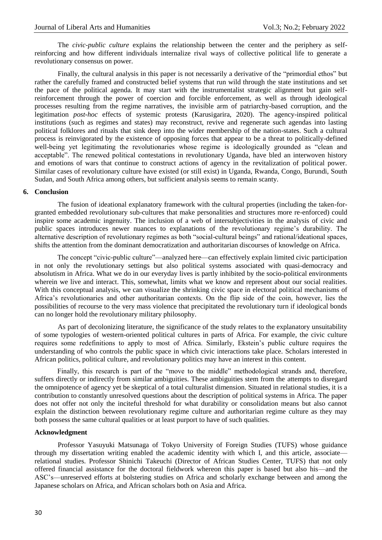The *civic-public culture* explains the relationship between the center and the periphery as selfreinforcing and how different individuals internalize rival ways of collective political life to generate a revolutionary consensus on power.

Finally, the cultural analysis in this paper is not necessarily a derivative of the "primordial ethos" but rather the carefully framed and constructed belief systems that run wild through the state institutions and set the pace of the political agenda. It may start with the instrumentalist strategic alignment but gain selfreinforcement through the power of coercion and forcible enforcement, as well as through ideological processes resulting from the regime narratives, the invisible arm of patriarchy-based corruption, and the legitimation *post-hoc* effects of systemic protests (Karusigarira, 2020). The agency-inspired political institutions (such as regimes and states) may reconstruct, revive and regenerate such agendas into lasting political folklores and rituals that sink deep into the wider membership of the nation-states. Such a cultural process is reinvigorated by the existence of opposing forces that appear to be a threat to politically-defined well-being yet legitimating the revolutionaries whose regime is ideologically grounded as "clean and acceptable". The renewed political contestations in revolutionary Uganda, have bled an interwoven history and emotions of wars that continue to construct actions of agency in the revitalization of political power. Similar cases of revolutionary culture have existed (or still exist) in Uganda, Rwanda, Congo, Burundi, South Sudan, and South Africa among others, but sufficient analysis seems to remain scanty.

#### **6. Conclusion**

The fusion of ideational explanatory framework with the cultural properties (including the taken-forgranted embedded revolutionary sub-cultures that make personalities and structures more re-enforced) could inspire some academic ingenuity. The inclusion of a web of intersubjectivities in the analysis of civic and public spaces introduces newer nuances to explanations of the revolutionary regime's durability. The alternative description of revolutionary regimes as both "social-cultural beings" and rational/ideational spaces, shifts the attention from the dominant democratization and authoritarian discourses of knowledge on Africa.

The concept "civic-public culture"—analyzed here—can effectively explain limited civic participation in not only the revolutionary settings but also political systems associated with quasi-democracy and absolutism in Africa. What we do in our everyday lives is partly inhibited by the socio-political environments wherein we live and interact. This, somewhat, limits what we know and represent about our social realities. With this conceptual analysis, we can visualize the shrinking civic space in electoral political mechanisms of Africa's revolutionaries and other authoritarian contexts. On the flip side of the coin, however, lies the possibilities of recourse to the very mass violence that precipitated the revolutionary turn if ideological bonds can no longer hold the revolutionary military philosophy.

As part of decolonizing literature, the significance of the study relates to the explanatory unsuitability of some typologies of western-oriented political cultures in parts of Africa. For example, the civic culture requires some redefinitions to apply to most of Africa. Similarly, Ekstein's public culture requires the understanding of who controls the public space in which civic interactions take place. Scholars interested in African politics, political culture, and revolutionary politics may have an interest in this content.

Finally, this research is part of the "move to the middle" methodological strands and, therefore, suffers directly or indirectly from similar ambiguities. These ambiguities stem from the attempts to disregard the omnipotence of agency yet be skeptical of a total culturalist dimension. Situated in relational studies, it is a contribution to constantly unresolved questions about the description of political systems in Africa. The paper does not offer not only the inciteful threshold for what durability or consolidation means but also cannot explain the distinction between revolutionary regime culture and authoritarian regime culture as they may both possess the same cultural qualities or at least purport to have of such qualities.

#### **Acknowledgment**

Professor Yasuyuki Matsunaga of Tokyo University of Foreign Studies (TUFS) whose guidance through my dissertation writing enabled the academic identity with which I, and this article, associate relational studies. Professor Shinichi Takeuchi (Director of African Studies Center, TUFS) that not only offered financial assistance for the doctoral fieldwork whereon this paper is based but also his—and the ASC's—unreserved efforts at bolstering studies on Africa and scholarly exchange between and among the Japanese scholars on Africa, and African scholars both on Asia and Africa.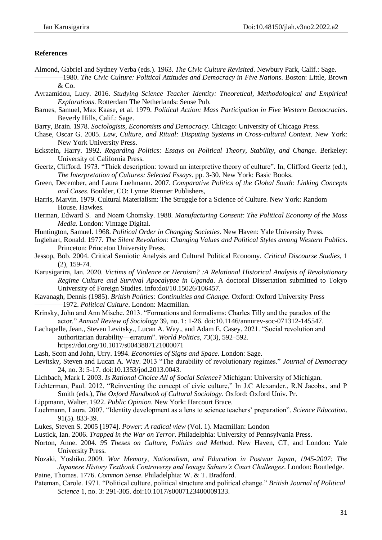#### **References**

Almond, Gabriel and Sydney Verba (eds.). 1963. *The Civic Culture Revisited*. Newbury Park, Calif.: Sage. ————1980. *The Civic Culture: Political Attitudes and Democracy in Five Nations*. Boston: Little, Brown

& Co.

- Avraamidou, Lucy. 2016. *Studying Science Teacher Identity: Theoretical, Methodological and Empirical Explorations*. Rotterdam The Netherlands: Sense Pub.
- Barnes, Samuel, Max Kaase, et al. 1979. *Political Action: Mass Participation in Five Western Democracies*. Beverly Hills, Calif.: Sage.
- Barry, Brain. 1978. *Sociologists, Economists and Democracy*. Chicago: University of Chicago Press.
- Chase, Oscar G. 2005. *Law, Culture, and Ritual: Disputing Systems in Cross-cultural Context*. New York: New York University Press.
- Eckstein, Harry. 1992. *Regarding Politics: Essays on Political Theory, Stability, and Change*. Berkeley: University of California Press.
- Geertz, Clifford. 1973. "Thick description: toward an interpretive theory of culture". In, Clifford Geertz (ed.), *The Interpretation of Cultures: Selected Essays*. pp. 3-30. New York: Basic Books.
- Green, December, and Laura Luehmann. 2007. *Comparative Politics of the Global South: Linking Concepts and Cases*. Boulder, CO: Lynne Rienner Publishers,
- Harris, Marvin. 1979. Cultural Materialism: The Struggle for a Science of Culture. New York: Random House. Hawkes.
- Herman, Edward S. and Noam Chomsky. 1988. *Manufacturing Consent: The Political Economy of the Mass Media*. London: Vintage Digital.
- Huntington, Samuel. 1968. *Political Order in Changing Societies*. New Haven: Yale University Press.
- Inglehart, Ronald. 1977. *The Silent Revolution: Changing Values and Political Styles among Western Publics*. Princeton: Princeton University Press.
- Jessop, Bob. 2004. Critical Semiotic Analysis and Cultural Political Economy. *Critical Discourse Studies*, 1 (2), 159-74.
- Karusigarira, Ian. 2020. *Victims of Violence or Heroism? :A Relational Historical Analysis of Revolutionary Regime Culture and Survival Apocalypse in Uganda*. A doctoral Dissertation submitted to Tokyo University of Foreign Studies. info:doi/10.15026/106457.
- Kavanagh, Dennis (1985). *British Politics: Continuities and Change.* Oxford: Oxford University Press ————1972. *Political Culture*. London: Macmillan.
- Krinsky, John and Ann Mische. 2013. "Formations and formalisms: Charles Tilly and the paradox of the actor.‖ *Annual Review of Sociology* 39, no. 1: 1-26. doi:10.1146/annurev-soc-071312-145547.
- Lachapelle, Jean., Steven Levitsky., Lucan A. Way., and Adam E. Casey. 2021. "Social revolution and authoritarian durability—erratum". *World Politics*, 73(3), 592–592.
	- https://doi.org/10.1017/s0043887121000071
- Lash, Scott and John, Urry. 1994. *Economies of Signs and Space*. London: Sage.
- Levitsky, Steven and Lucan A. Way. 2013 "The durability of revolutionary regimes." *Journal of Democracy* 24, no. 3: 5-17. doi:10.1353/jod.2013.0043.
- Lichbach, Mark I. 2003. *Is Rational Choice All of Social Science?* Michigan: University of Michigan.
- Lichterman, Paul. 2012. "Reinventing the concept of civic culture," In J.C Alexander., R.N Jacobs., and P Smith (eds.), *The Oxford Handbook of Cultural Sociology*. Oxford: Oxford Univ. Pr.
- Lippmann, Walter. 1922. *Public Opinion*. New York: Harcourt Brace.
- Luehmann, Laura. 2007. "Identity development as a lens to science teachers' preparation". *Science Education*. 91(5). 833-39.
- Lukes, Steven S. 2005 [1974]. *Power: A radical view* (Vol. 1). Macmillan: London
- Lustick, Ian. 2006. *Trapped in the War on Terror*. Philadelphia: University of Pennsylvania Press.
- Norton, Anne. 2004. *95 Theses on Culture, Politics and Method*. New Haven, CT, and London: Yale University Press.
- Nozaki, Yoshiko. 2009. *War Memory, Nationalism, and Education in Postwar Japan, 1945-2007: The Japanese History Textbook Controversy and Ienaga Saburo's Court Challenges*. London: Routledge.
- Paine, Thomas. 1776. *Common Sense*. Philadelphia: W. & T. Bradford.
- Pateman, Carole. 1971. "Political culture, political structure and political change." *British Journal of Political Science* 1, no. 3: 291-305. doi:10.1017/s0007123400009133.